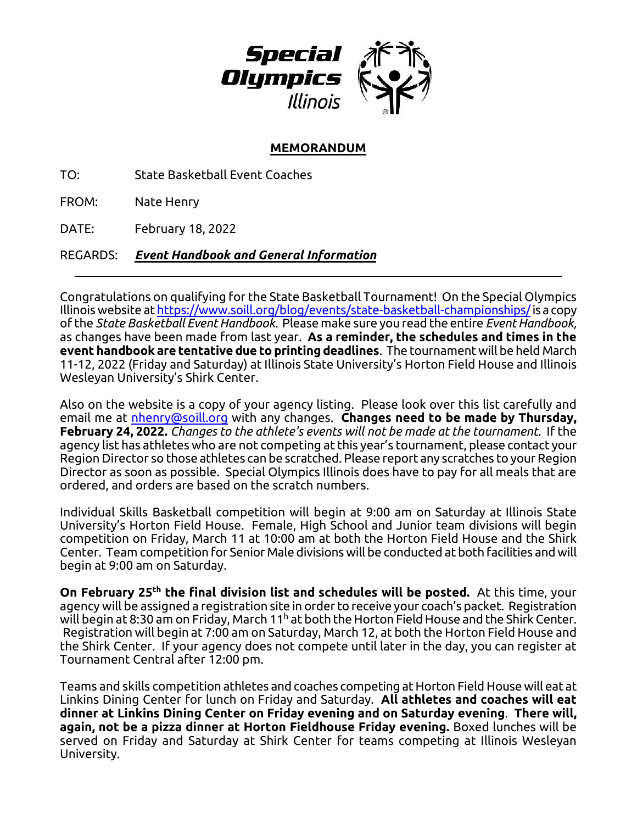

## **MEMORANDUM**

TO: State Basketball Event Coaches

FROM: Nate Henry

DATE: February 18, 2022

REGARDS: *Event Handbook and General Information*

Congratulations on qualifying for the State Basketball Tournament! On the Special Olympics Illinois website a[t https://www.soill.org/blog/events/state-basketball-championships/i](https://www.soill.org/blog/events/state-basketball-championships/)s a copy of the *State Basketball EventHandbook.* Please make sure you read the entire *EventHandbook,* as changes have been made from last year. **As a reminder, the schedules and times in the event handbook are tentative due to printing deadlines**. The tournament will be held March 11-12, 2022 (Friday and Saturday) at Illinois State University's Horton Field House and Illinois Wesleyan University's Shirk Center.

Also on the website is a copy of your agency listing. Please look over this list carefully and email me at [nhenry@soill.org](mailto:nhenry@soill.org) with any changes. **Changes need to be made by Thursday, February 24, 2022.** *Changes to the athlete's events will not be made at the tournament.* If the agency list has athletes who are not competing at this year's tournament, please contact your Region Director so those athletes can be scratched. Please report any scratches to your Region Director as soon as possible. Special Olympics Illinois does have to pay for all meals that are ordered, and orders are based on the scratch numbers.

Individual Skills Basketball competition will begin at 9:00 am on Saturday at Illinois State University's Horton Field House. Female, High School and Junior team divisions will begin competition on Friday, March 11 at 10:00 am at both the Horton Field House and the Shirk Center. Team competition for Senior Male divisions will be conducted at both facilities and will begin at 9:00 am on Saturday.

**On February 25<sup>th</sup> the final division list and schedules will be posted.** At this time, your agency will be assigned a registration site in order to receive your coach's packet. Registration will begin at 8:30 am on Friday, March 11 $^{\text{h}}$  at both the Horton Field House and the Shirk Center. Registration will begin at 7:00 am on Saturday, March 12, at both the Horton Field House and the Shirk Center. If your agency does not compete until later in the day, you can register at Tournament Central after 12:00 pm.

Teams and skills competition athletes and coaches competing at Horton Field House will eat at Linkins Dining Center for lunch on Friday and Saturday. **All athletes and coaches will eat dinner at Linkins Dining Center on Friday evening and on Saturday evening**. **There will, again, not be a pizza dinner at Horton Fieldhouse Friday evening.** Boxed lunches will be served on Friday and Saturday at Shirk Center for teams competing at Illinois Wesleyan University.